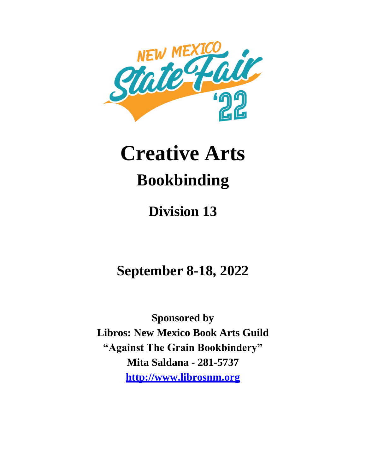

# **Creative Arts Bookbinding**

# **Division 13**

**September 8-18, 2022**

**Sponsored by Libros: New Mexico Book Arts Guild "Against The Grain Bookbindery" Mita Saldana - 281-5737 http://www.librosnm.org**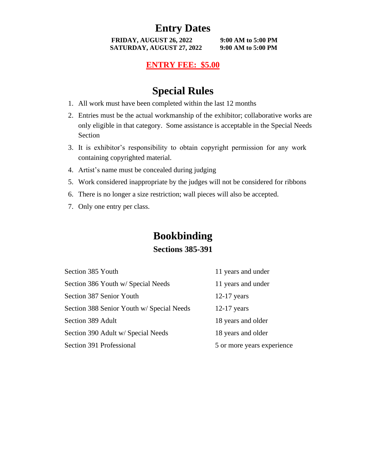# **Entry Dates**

**FRIDAY, AUGUST 26, 2022 9:00 AM to 5:00 PM SATURDAY, AUGUST 27, 2022 9:00 AM to 5:00 PM**

#### **ENTRY FEE: \$5.00**

## **Special Rules**

- 1. All work must have been completed within the last 12 months
- 2. Entries must be the actual workmanship of the exhibitor; collaborative works are only eligible in that category. Some assistance is acceptable in the Special Needs Section
- 3. It is exhibitor's responsibility to obtain copyright permission for any work containing copyrighted material.
- 4. Artist's name must be concealed during judging
- 5. Work considered inappropriate by the judges will not be considered for ribbons
- 6. There is no longer a size restriction; wall pieces will also be accepted.
- 7. Only one entry per class.

# **Bookbinding**

#### **Sections 385-391**

| Section 385 Youth                         | 11 years and under         |
|-------------------------------------------|----------------------------|
| Section 386 Youth w/ Special Needs        | 11 years and under         |
| Section 387 Senior Youth                  | $12-17$ years              |
| Section 388 Senior Youth w/ Special Needs | $12-17$ years              |
| Section 389 Adult                         | 18 years and older         |
| Section 390 Adult w/ Special Needs        | 18 years and older         |
| Section 391 Professional                  | 5 or more years experience |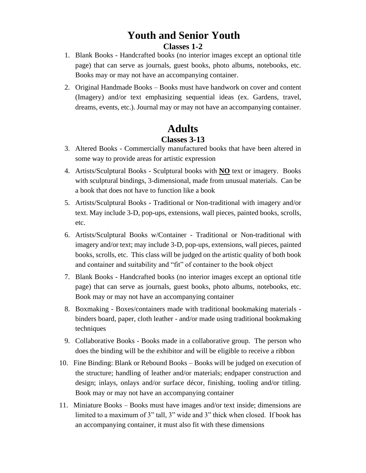### **Youth and Senior Youth Classes 1-2**

- 1. Blank Books Handcrafted books (no interior images except an optional title page) that can serve as journals, guest books, photo albums, notebooks, etc. Books may or may not have an accompanying container.
- 2. Original Handmade Books Books must have handwork on cover and content (Imagery) and/or text emphasizing sequential ideas (ex. Gardens, travel, dreams, events, etc.). Journal may or may not have an accompanying container.

# **Adults**

#### **Classes 3-13**

- 3. Altered Books Commercially manufactured books that have been altered in some way to provide areas for artistic expression
- 4. Artists/Sculptural Books Sculptural books with **NO** text or imagery. Books with sculptural bindings, 3-dimensional, made from unusual materials. Can be a book that does not have to function like a book
- 5. Artists/Sculptural Books Traditional or Non-traditional with imagery and/or text. May include 3-D, pop-ups, extensions, wall pieces, painted books, scrolls, etc.
- 6. Artists/Sculptural Books w/Container Traditional or Non-traditional with imagery and/or text; may include 3-D, pop-ups, extensions, wall pieces, painted books, scrolls, etc. This class will be judged on the artistic quality of both book and container and suitability and "fit" of container to the book object
- 7. Blank Books Handcrafted books (no interior images except an optional title page) that can serve as journals, guest books, photo albums, notebooks, etc. Book may or may not have an accompanying container
- 8. Boxmaking Boxes/containers made with traditional bookmaking materials binders board, paper, cloth leather - and/or made using traditional bookmaking techniques
- 9. Collaborative Books Books made in a collaborative group. The person who does the binding will be the exhibitor and will be eligible to receive a ribbon
- 10. Fine Binding: Blank or Rebound Books Books will be judged on execution of the structure; handling of leather and/or materials; endpaper construction and design; inlays, onlays and/or surface décor, finishing, tooling and/or titling. Book may or may not have an accompanying container
- 11. Miniature Books Books must have images and/or text inside; dimensions are limited to a maximum of 3" tall, 3" wide and 3" thick when closed. If book has an accompanying container, it must also fit with these dimensions